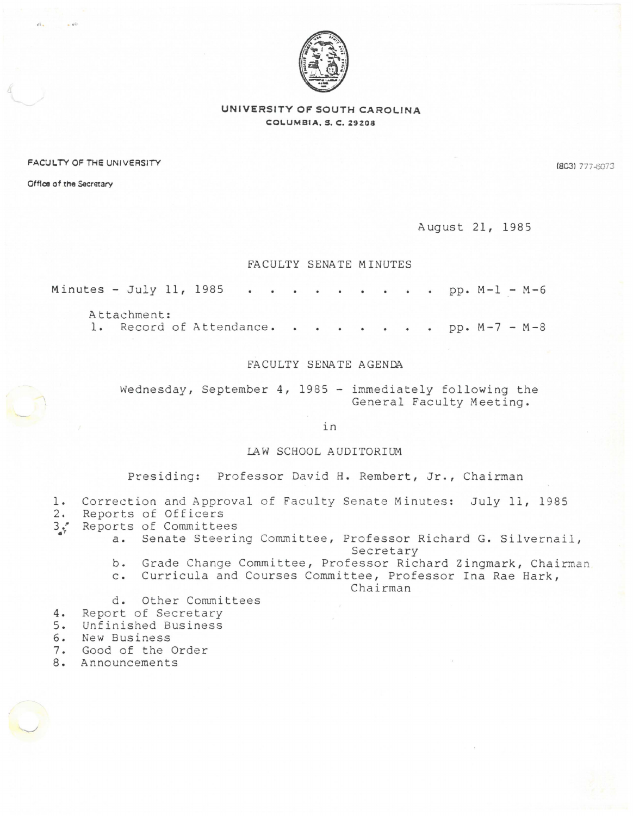

## UNIVERSITY OF SOUTH CAROLINA COLUMBIA, *S.* C. 29208

FACULTY OF THE UNIVERSITY (803) 277-8073

Office of the Secretary

 $\mathcal{O}_{\mathcal{A}}$ 

August 21, 1985

## FACULTY SENATE MINUTES

Minutes - July 11, 1985 . . . . . . . . . pp.  $M-1 - M-6$ 

Attachment:

1. Record of Attendance. . . . . . . pp. M-7 - M-8

## FACULTY SENATE AGENDA

Wednesday, September 4, 1985 - immediately following the General Faculty Meeting.

in

LAW SCHOOL AUDITORIUM

Presiding: Professor David H. Rembert, Jr., Chairman

- 1. Correction and Approval of Faculty Senate Minutes: July 11, 1985
- 2. Reports of Officers
- 3. Reports of Committees
	- a. Senate Steering Committee, Professor Richard G. Silvernail, Secretary
		- b. Grade Change Committee, Professor Richard Zingmark, Chairman
		- c. Curricula and Courses Committee, Professor Ina Rae Hark,

Chairman

- d. Other Committees
- 4. Report of Secretary
- 5. Unfinished Business
- 6. New Business
- 7. Good of the Order
- 8. Announcements